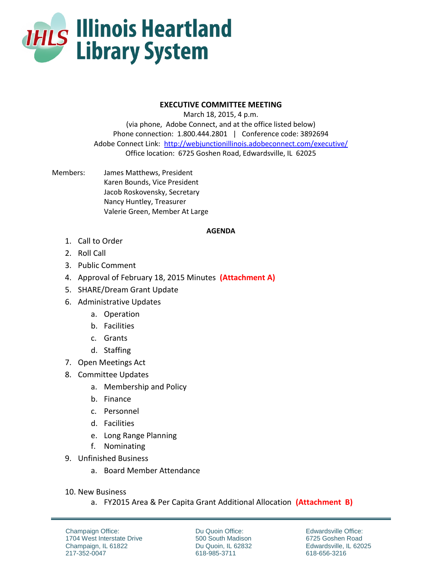

## **EXECUTIVE COMMITTEE MEETING**

March 18, 2015, 4 p.m. (via phone, Adobe Connect, and at the office listed below) Phone connection: 1.800.444.2801 | Conference code: 3892694 Adobe Connect Link: <http://webjunctionillinois.adobeconnect.com/executive/> Office location: 6725 Goshen Road, Edwardsville, IL 62025

Members: James Matthews, President Karen Bounds, Vice President Jacob Roskovensky, Secretary Nancy Huntley, Treasurer Valerie Green, Member At Large

## **AGENDA**

- 1. Call to Order
- 2. Roll Call
- 3. Public Comment
- 4. Approval of February 18, 2015 Minutes **(Attachment A)**
- 5. SHARE/Dream Grant Update
- 6. Administrative Updates
	- a. Operation
	- b. Facilities
	- c. Grants
	- d. Staffing
- 7. Open Meetings Act
- 8. Committee Updates
	- a. Membership and Policy
	- b. Finance
	- c. Personnel
	- d. Facilities
	- e. Long Range Planning
	- f. Nominating
- 9. Unfinished Business
	- a. Board Member Attendance
- 10. New Business
	- a. FY2015 Area & Per Capita Grant Additional Allocation **(Attachment B)**

Champaign Office: 1704 West Interstate Drive Champaign, IL 61822 217-352-0047

Du Quoin Office: 500 South Madison Du Quoin, IL 62832 618-985-3711

Edwardsville Office: 6725 Goshen Road Edwardsville, IL 62025 618-656-3216